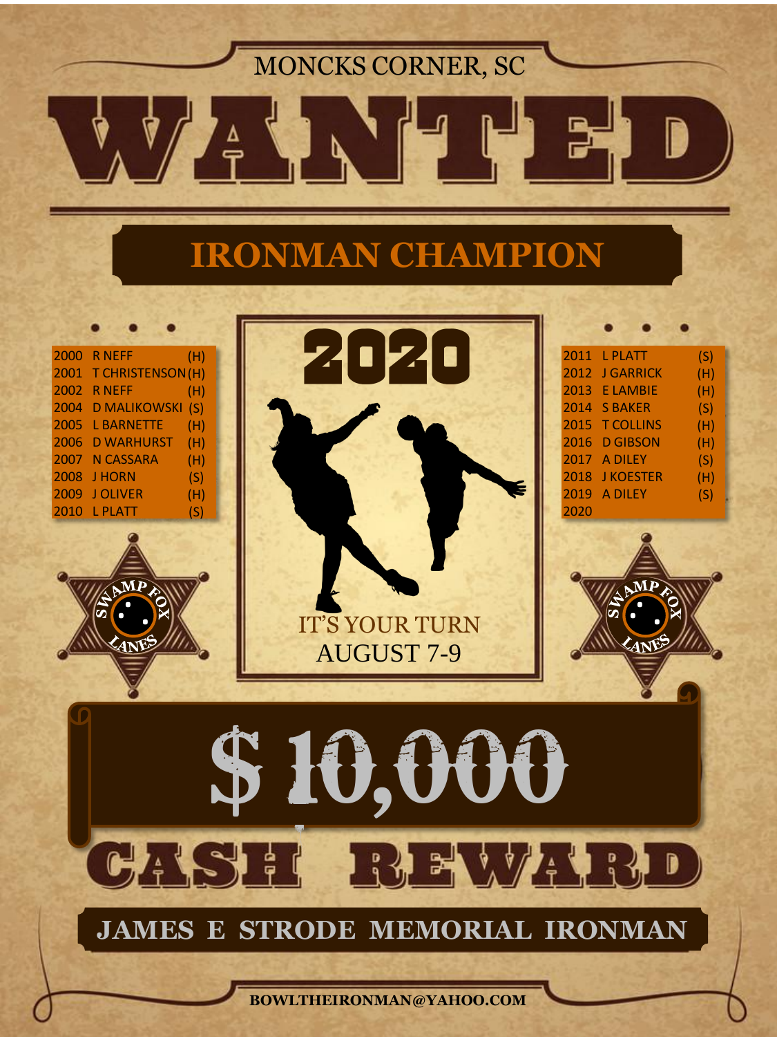MONCKS CORNER, SC

D

 $\stackrel{\Delta}{\Rightarrow}$ 

 $\mathbf{B}$ 

# **IRONMAN CHAMPION**

|          | <b>2000 RNEFF</b><br>2001 T CHRISTENSON (H) | (H)        | 2020                                       | 2011 L PLATT<br>2012 J GARRICK  | (S)<br>(H) |  |  |  |
|----------|---------------------------------------------|------------|--------------------------------------------|---------------------------------|------------|--|--|--|
|          | <b>2002 RNEFF</b>                           | (H)        |                                            | 2013 E LAMBIE                   | (H)        |  |  |  |
|          | 2004 D MALIKOWSKI (S)                       |            |                                            | 2014 S BAKER                    | (S)        |  |  |  |
|          | 2005 L BARNETTE<br>2006 D WARHURST          | (H)<br>(H) |                                            | 2015 T COLLINS<br>2016 D GIBSON | (H)<br>(H) |  |  |  |
|          | 2007 N CASSARA                              | (H)        |                                            | 2017 A DILEY                    | (S)        |  |  |  |
|          | <b>2008 J HORN</b>                          | (S)        |                                            | 2018 JKOESTER                   | (H)        |  |  |  |
|          | 2009 JOLIVER<br>2010 L PLATT                | (H)<br>(S) |                                            | 2019 A DILEY<br>2020            | (S)        |  |  |  |
|          | $\mathbf{M}$ )                              |            | <b>IT'S YOUR TURN</b><br><b>AUGUST 7-9</b> | MŪ                              |            |  |  |  |
| \$10,000 |                                             |            |                                            |                                 |            |  |  |  |
|          | CASH                                        |            | BREVICED                                   |                                 |            |  |  |  |
|          |                                             |            | <b>JAMES E STRODE MEMORIAL IRONMAN</b>     |                                 |            |  |  |  |
|          |                                             |            | BOWLTHEIRONMAN@YAHOO.COM                   |                                 |            |  |  |  |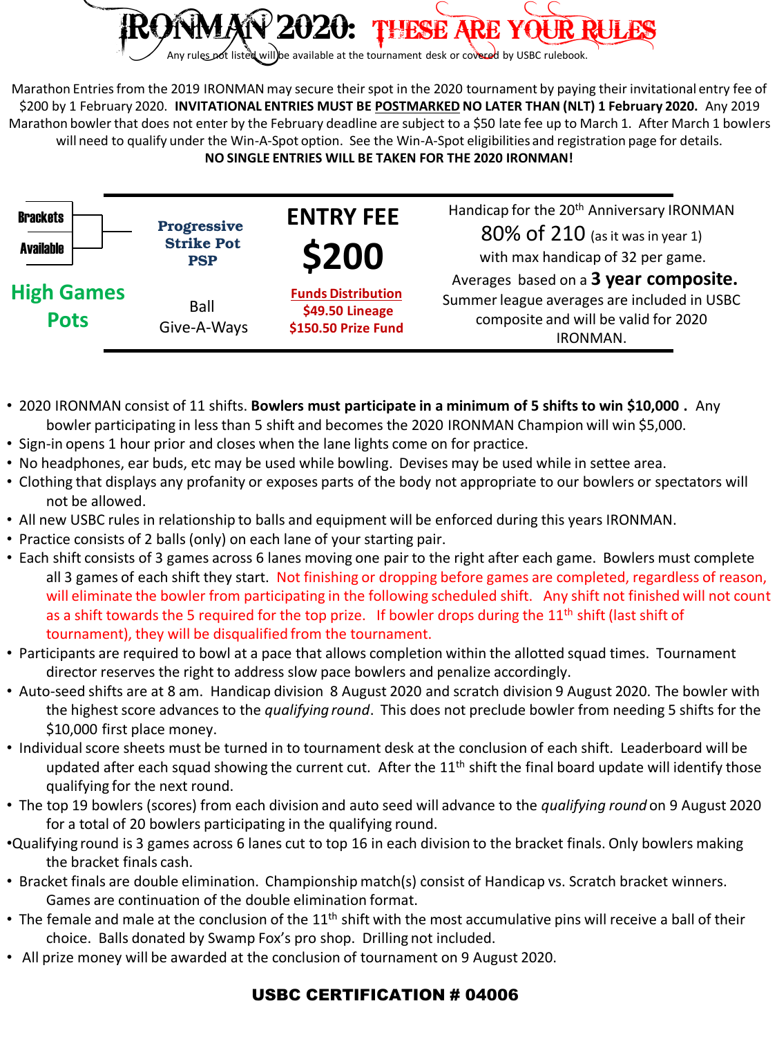

Marathon Entries from the 2019 IRONMAN may secure their spot in the 2020 tournament by paying their invitational entry fee of \$200 by 1 February 2020. **INVITATIONAL ENTRIES MUST BE POSTMARKED NO LATER THAN (NLT) 1 February 2020.** Any 2019 Marathon bowler that does not enter by the February deadline are subject to a \$50 late fee up to March 1. After March 1 bowlers will need to qualify under the Win-A-Spot option. See the Win-A-Spot eligibilities and registration page for details. **NO SINGLE ENTRIES WILL BE TAKEN FOR THE 2020 IRONMAN!**

| <b>Brackets</b><br><b>Available</b> | <b>Progressive</b><br><b>Strike Pot</b><br><b>PSP</b> | <b>ENTRY FEE</b><br><b>\$200</b>                                    | Handicap for the 20 <sup>th</sup> Anniversary IRONMAN<br>80% of 210 (as it was in year 1)<br>with max handicap of 32 per game.           |
|-------------------------------------|-------------------------------------------------------|---------------------------------------------------------------------|------------------------------------------------------------------------------------------------------------------------------------------|
| <b>High Games</b><br><b>Pots</b>    | Ball<br>Give-A-Ways                                   | <b>Funds Distribution</b><br>\$49.50 Lineage<br>\$150.50 Prize Fund | Averages based on a 3 year composite.<br>Summer league averages are included in USBC<br>composite and will be valid for 2020<br>IRONMAN. |

- 2020 IRONMAN consist of 11 shifts. **Bowlers must participate in a minimum of 5 shifts to win \$10,000 .** Any bowler participating in less than 5 shift and becomes the 2020 IRONMAN Champion will win \$5,000.
- Sign-in opens 1 hour prior and closes when the lane lights come on for practice.
- No headphones, ear buds, etc may be used while bowling. Devises may be used while in settee area.
- Clothing that displays any profanity or exposes parts of the body not appropriate to our bowlers or spectators will not be allowed.
- All new USBC rules in relationship to balls and equipment will be enforced during this years IRONMAN.
- Practice consists of 2 balls (only) on each lane of your starting pair.
- Each shift consists of 3 games across 6 lanes moving one pair to the right after each game. Bowlers must complete all 3 games of each shift they start. Not finishing or dropping before games are completed, regardless of reason, will eliminate the bowler from participating in the following scheduled shift. Any shift not finished will not count as a shift towards the 5 required for the top prize. If bowler drops during the  $11<sup>th</sup>$  shift (last shift of tournament), they will be disqualified from the tournament.
- Participants are required to bowl at a pace that allows completion within the allotted squad times. Tournament director reserves the right to address slow pace bowlers and penalize accordingly.
- Auto-seed shifts are at 8 am. Handicap division 8 August 2020 and scratch division 9 August 2020. The bowler with the highest score advances to the *qualifying round*. This does not preclude bowler from needing 5 shifts for the \$10,000 first place money.
- Individual score sheets must be turned in to tournament desk at the conclusion of each shift. Leaderboard will be updated after each squad showing the current cut. After the  $11<sup>th</sup>$  shift the final board update will identify those qualifying for the next round.
- The top 19 bowlers (scores) from each division and auto seed will advance to the *qualifying round* on 9 August 2020 for a total of 20 bowlers participating in the qualifying round.
- •Qualifying round is 3 games across 6 lanes cut to top 16 in each division to the bracket finals. Only bowlers making the bracket finals cash.
- Bracket finals are double elimination. Championship match(s) consist of Handicap vs. Scratch bracket winners. Games are continuation of the double elimination format.
- The female and male at the conclusion of the  $11<sup>th</sup>$  shift with the most accumulative pins will receive a ball of their choice. Balls donated by Swamp Fox's pro shop. Drilling not included.
- All prize money will be awarded at the conclusion of tournament on 9 August 2020.

### USBC CERTIFICATION # 04006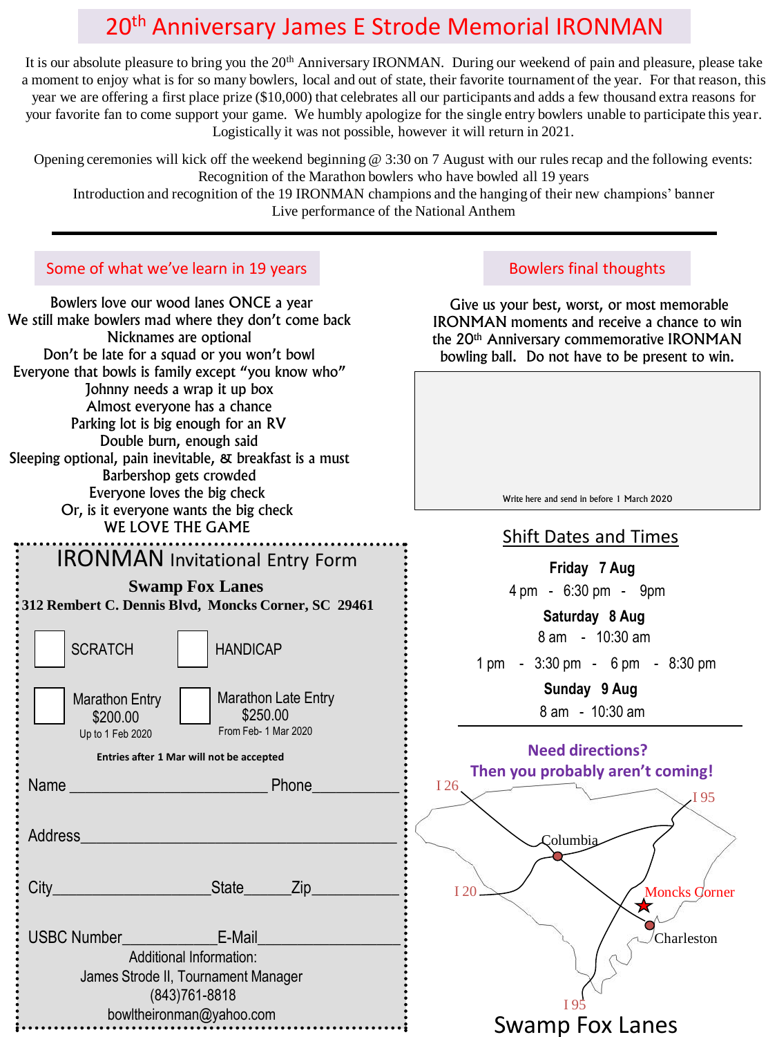# 20th Anniversary James E Strode Memorial IRONMAN

It is our absolute pleasure to bring you the 20<sup>th</sup> Anniversary IRONMAN. During our weekend of pain and pleasure, please take a moment to enjoy what is for so many bowlers, local and out of state, their favorite tournament of the year. For that reason, this year we are offering a first place prize (\$10,000) that celebrates all our participants and adds a few thousand extra reasons for your favorite fan to come support your game. We humbly apologize for the single entry bowlers unable to participate this year. Logistically it was not possible, however it will return in 2021.

Opening ceremonies will kick off the weekend beginning @ 3:30 on 7 August with our rules recap and the following events: Recognition of the Marathon bowlers who have bowled all 19 years

Introduction and recognition of the 19 IRONMAN champions and the hanging of their new champions' banner Live performance of the National Anthem

l

Name **Name Name Name Phone** Address\_ City\_\_\_\_\_\_\_\_\_\_\_\_\_\_\_\_\_\_\_\_State\_\_\_\_\_\_Zip\_\_\_\_\_\_\_\_\_\_\_ USBC Number **E-Mail Swamp Fox Lanes 312 Rembert C. Dennis Blvd, Moncks Corner, SC 29461** Marathon Entry \$200.00 Up to 1 Feb 2020 Marathon Late Entry \$250.00 From Feb- 1 Mar 2020 Additional Information: James Strode II, Tournament Manager (843)761-8818 SCRATCH HANDICAP Bowlers love our wood lanes ONCE a year We still make bowlers mad where they don't come back Nicknames are optional Don't be late for a squad or you won't bowl Everyone that bowls is family except "you know who" Johnny needs a wrap it up box Almost everyone has a chance Parking lot is big enough for an RV Double burn, enough said Sleeping optional, pain inevitable, & breakfast is a must Barbershop gets crowded Everyone loves the big check Or, is it everyone wants the big check WE LOVE THE GAME IRONMAN Invitational Entry Form **Entries after 1 Mar will not be accepted**

bowltheironman@yahoo.com

# **Friday 7 Aug** 4 pm - 6:30 pm - 9pm 8 am - 10:30 am 1 pm - 3:30 pm - 6 pm - 8:30 pm  **Sunday 9 Aug** 8 am - 10:30 am **Saturday 8 Aug** Columbia I 95 I 26 **Need directions? Then you probably aren't coming!** Give us your best, worst, or most memorable IRONMAN moments and receive a chance to win the 20<sup>th</sup> Anniversary commemorative IRONMAN bowling ball. Do not have to be present to win. Shift Dates and Times Some of what we've learn in 19 years **Bowlers** Bowlers final thoughts Write here and send in before 1 March 2020



I 20

Charleston

Moncks Corner